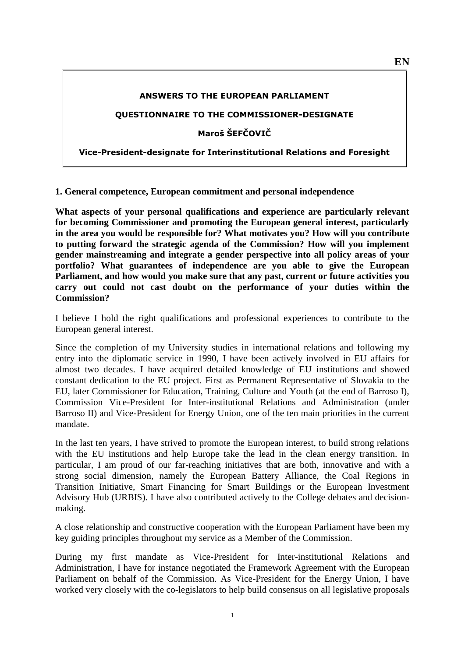#### **ANSWERS TO THE EUROPEAN PARLIAMENT**

### **QUESTIONNAIRE TO THE COMMISSIONER-DESIGNATE**

**Maroš ŠEFČOVIČ** 

**Vice-President-designate for Interinstitutional Relations and Foresight**

**1. General competence, European commitment and personal independence**

**What aspects of your personal qualifications and experience are particularly relevant for becoming Commissioner and promoting the European general interest, particularly in the area you would be responsible for? What motivates you? How will you contribute to putting forward the strategic agenda of the Commission? How will you implement gender mainstreaming and integrate a gender perspective into all policy areas of your portfolio? What guarantees of independence are you able to give the European Parliament, and how would you make sure that any past, current or future activities you carry out could not cast doubt on the performance of your duties within the Commission?**

I believe I hold the right qualifications and professional experiences to contribute to the European general interest.

Since the completion of my University studies in international relations and following my entry into the diplomatic service in 1990, I have been actively involved in EU affairs for almost two decades. I have acquired detailed knowledge of EU institutions and showed constant dedication to the EU project. First as Permanent Representative of Slovakia to the EU, later Commissioner for Education, Training, Culture and Youth (at the end of Barroso I), Commission Vice-President for Inter-institutional Relations and Administration (under Barroso II) and Vice-President for Energy Union, one of the ten main priorities in the current mandate.

In the last ten years, I have strived to promote the European interest, to build strong relations with the EU institutions and help Europe take the lead in the clean energy transition. In particular, I am proud of our far-reaching initiatives that are both, innovative and with a strong social dimension, namely the European Battery Alliance, the Coal Regions in Transition Initiative, Smart Financing for Smart Buildings or the European Investment Advisory Hub (URBIS). I have also contributed actively to the College debates and decisionmaking.

A close relationship and constructive cooperation with the European Parliament have been my key guiding principles throughout my service as a Member of the Commission.

During my first mandate as Vice-President for Inter-institutional Relations and Administration, I have for instance negotiated the Framework Agreement with the European Parliament on behalf of the Commission. As Vice-President for the Energy Union, I have worked very closely with the co-legislators to help build consensus on all legislative proposals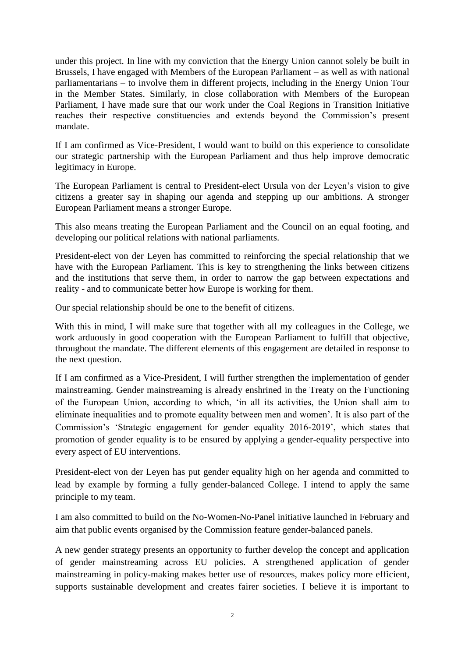under this project. In line with my conviction that the Energy Union cannot solely be built in Brussels, I have engaged with Members of the European Parliament – as well as with national parliamentarians – to involve them in different projects, including in the Energy Union Tour in the Member States. Similarly, in close collaboration with Members of the European Parliament, I have made sure that our work under the Coal Regions in Transition Initiative reaches their respective constituencies and extends beyond the Commission's present mandate.

If I am confirmed as Vice-President, I would want to build on this experience to consolidate our strategic partnership with the European Parliament and thus help improve democratic legitimacy in Europe.

The European Parliament is central to President-elect Ursula von der Leyen's vision to give citizens a greater say in shaping our agenda and stepping up our ambitions. A stronger European Parliament means a stronger Europe.

This also means treating the European Parliament and the Council on an equal footing, and developing our political relations with national parliaments.

President-elect von der Leyen has committed to reinforcing the special relationship that we have with the European Parliament. This is key to strengthening the links between citizens and the institutions that serve them, in order to narrow the gap between expectations and reality - and to communicate better how Europe is working for them.

Our special relationship should be one to the benefit of citizens.

With this in mind, I will make sure that together with all my colleagues in the College, we work arduously in good cooperation with the European Parliament to fulfill that objective, throughout the mandate. The different elements of this engagement are detailed in response to the next question.

If I am confirmed as a Vice-President, I will further strengthen the implementation of gender mainstreaming. Gender mainstreaming is already enshrined in the Treaty on the Functioning of the European Union, according to which, 'in all its activities, the Union shall aim to eliminate inequalities and to promote equality between men and women'. It is also part of the Commission's 'Strategic engagement for gender equality 2016-2019', which states that promotion of gender equality is to be ensured by applying a gender-equality perspective into every aspect of EU interventions.

President-elect von der Leyen has put gender equality high on her agenda and committed to lead by example by forming a fully gender-balanced College. I intend to apply the same principle to my team.

I am also committed to build on the No-Women-No-Panel initiative launched in February and aim that public events organised by the Commission feature gender-balanced panels.

A new gender strategy presents an opportunity to further develop the concept and application of gender mainstreaming across EU policies. A strengthened application of gender mainstreaming in policy-making makes better use of resources, makes policy more efficient, supports sustainable development and creates fairer societies. I believe it is important to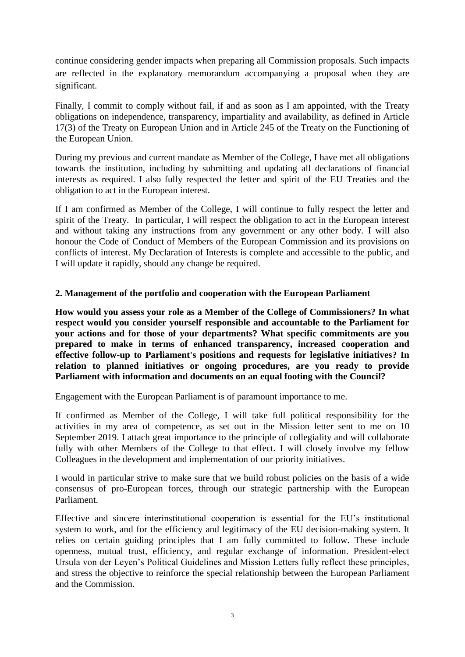continue considering gender impacts when preparing all Commission proposals. Such impacts are reflected in the explanatory memorandum accompanying a proposal when they are significant.

Finally, I commit to comply without fail, if and as soon as I am appointed, with the Treaty obligations on independence, transparency, impartiality and availability, as defined in Article 17(3) of the Treaty on European Union and in Article 245 of the Treaty on the Functioning of the European Union.

During my previous and current mandate as Member of the College, I have met all obligations towards the institution, including by submitting and updating all declarations of financial interests as required. I also fully respected the letter and spirit of the EU Treaties and the obligation to act in the European interest.

If I am confirmed as Member of the College, I will continue to fully respect the letter and spirit of the Treaty. In particular, I will respect the obligation to act in the European interest and without taking any instructions from any government or any other body. I will also honour the Code of Conduct of Members of the European Commission and its provisions on conflicts of interest. My Declaration of Interests is complete and accessible to the public, and I will update it rapidly, should any change be required.

# **2. Management of the portfolio and cooperation with the European Parliament**

**How would you assess your role as a Member of the College of Commissioners? In what respect would you consider yourself responsible and accountable to the Parliament for your actions and for those of your departments? What specific commitments are you prepared to make in terms of enhanced transparency, increased cooperation and effective follow-up to Parliament's positions and requests for legislative initiatives? In relation to planned initiatives or ongoing procedures, are you ready to provide Parliament with information and documents on an equal footing with the Council?**

Engagement with the European Parliament is of paramount importance to me.

If confirmed as Member of the College, I will take full political responsibility for the activities in my area of competence, as set out in the Mission letter sent to me on 10 September 2019. I attach great importance to the principle of collegiality and will collaborate fully with other Members of the College to that effect. I will closely involve my fellow Colleagues in the development and implementation of our priority initiatives.

I would in particular strive to make sure that we build robust policies on the basis of a wide consensus of pro-European forces, through our strategic partnership with the European Parliament.

Effective and sincere interinstitutional cooperation is essential for the EU's institutional system to work, and for the efficiency and legitimacy of the EU decision-making system. It relies on certain guiding principles that I am fully committed to follow. These include openness, mutual trust, efficiency, and regular exchange of information. President-elect Ursula von der Leyen's Political Guidelines and Mission Letters fully reflect these principles, and stress the objective to reinforce the special relationship between the European Parliament and the Commission.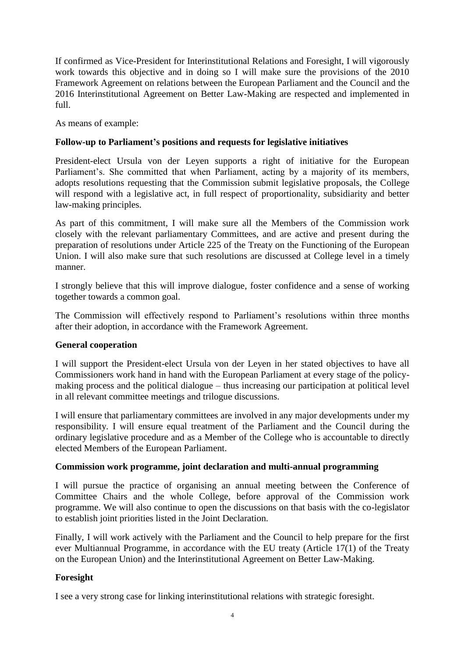If confirmed as Vice-President for Interinstitutional Relations and Foresight, I will vigorously work towards this objective and in doing so I will make sure the provisions of the 2010 Framework Agreement on relations between the European Parliament and the Council and the 2016 Interinstitutional Agreement on Better Law-Making are respected and implemented in full.

As means of example:

# **Follow-up to Parliament's positions and requests for legislative initiatives**

President-elect Ursula von der Leyen supports a right of initiative for the European Parliament's. She committed that when Parliament, acting by a majority of its members, adopts resolutions requesting that the Commission submit legislative proposals, the College will respond with a legislative act, in full respect of proportionality, subsidiarity and better law-making principles.

As part of this commitment, I will make sure all the Members of the Commission work closely with the relevant parliamentary Committees, and are active and present during the preparation of resolutions under Article 225 of the Treaty on the Functioning of the European Union. I will also make sure that such resolutions are discussed at College level in a timely manner.

I strongly believe that this will improve dialogue, foster confidence and a sense of working together towards a common goal.

The Commission will effectively respond to Parliament's resolutions within three months after their adoption, in accordance with the Framework Agreement.

# **General cooperation**

I will support the President-elect Ursula von der Leyen in her stated objectives to have all Commissioners work hand in hand with the European Parliament at every stage of the policymaking process and the political dialogue – thus increasing our participation at political level in all relevant committee meetings and trilogue discussions.

I will ensure that parliamentary committees are involved in any major developments under my responsibility. I will ensure equal treatment of the Parliament and the Council during the ordinary legislative procedure and as a Member of the College who is accountable to directly elected Members of the European Parliament.

### **Commission work programme, joint declaration and multi-annual programming**

I will pursue the practice of organising an annual meeting between the Conference of Committee Chairs and the whole College, before approval of the Commission work programme. We will also continue to open the discussions on that basis with the co-legislator to establish joint priorities listed in the Joint Declaration.

Finally, I will work actively with the Parliament and the Council to help prepare for the first ever Multiannual Programme, in accordance with the EU treaty (Article 17(1) of the Treaty on the European Union) and the Interinstitutional Agreement on Better Law-Making.

# **Foresight**

I see a very strong case for linking interinstitutional relations with strategic foresight.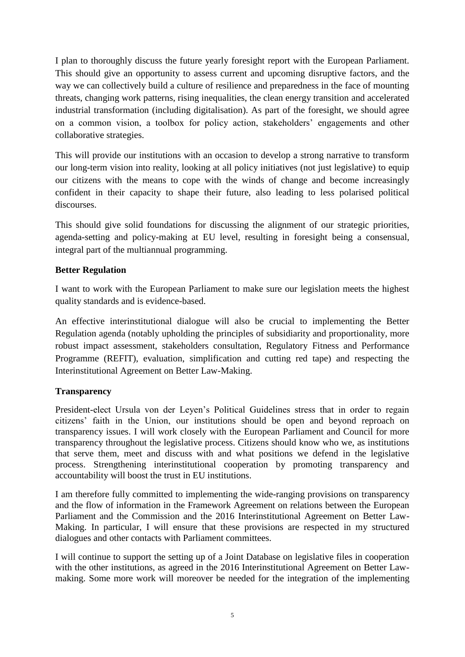I plan to thoroughly discuss the future yearly foresight report with the European Parliament. This should give an opportunity to assess current and upcoming disruptive factors, and the way we can collectively build a culture of resilience and preparedness in the face of mounting threats, changing work patterns, rising inequalities, the clean energy transition and accelerated industrial transformation (including digitalisation). As part of the foresight, we should agree on a common vision, a toolbox for policy action, stakeholders' engagements and other collaborative strategies.

This will provide our institutions with an occasion to develop a strong narrative to transform our long-term vision into reality, looking at all policy initiatives (not just legislative) to equip our citizens with the means to cope with the winds of change and become increasingly confident in their capacity to shape their future, also leading to less polarised political discourses.

This should give solid foundations for discussing the alignment of our strategic priorities, agenda-setting and policy-making at EU level, resulting in foresight being a consensual, integral part of the multiannual programming.

# **Better Regulation**

I want to work with the European Parliament to make sure our legislation meets the highest quality standards and is evidence-based.

An effective interinstitutional dialogue will also be crucial to implementing the Better Regulation agenda (notably upholding the principles of subsidiarity and proportionality, more robust impact assessment, stakeholders consultation, Regulatory Fitness and Performance Programme (REFIT), evaluation, simplification and cutting red tape) and respecting the Interinstitutional Agreement on Better Law-Making.

# **Transparency**

President-elect Ursula von der Leyen's Political Guidelines stress that in order to regain citizens' faith in the Union, our institutions should be open and beyond reproach on transparency issues. I will work closely with the European Parliament and Council for more transparency throughout the legislative process. Citizens should know who we, as institutions that serve them, meet and discuss with and what positions we defend in the legislative process. Strengthening interinstitutional cooperation by promoting transparency and accountability will boost the trust in EU institutions.

I am therefore fully committed to implementing the wide-ranging provisions on transparency and the flow of information in the Framework Agreement on relations between the European Parliament and the Commission and the 2016 Interinstitutional Agreement on Better Law-Making. In particular, I will ensure that these provisions are respected in my structured dialogues and other contacts with Parliament committees.

I will continue to support the setting up of a Joint Database on legislative files in cooperation with the other institutions, as agreed in the 2016 Interinstitutional Agreement on Better Lawmaking. Some more work will moreover be needed for the integration of the implementing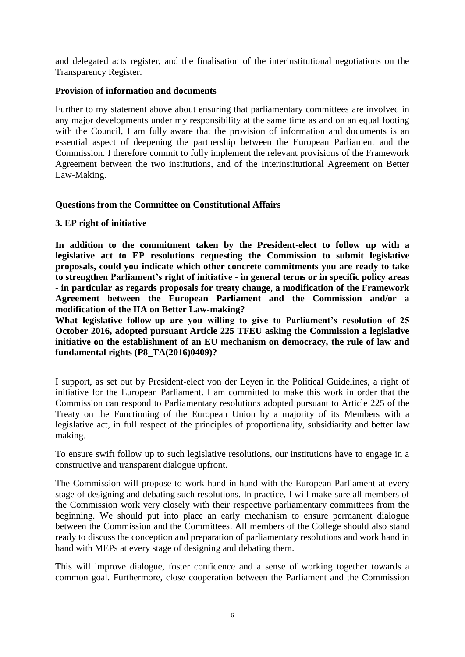and delegated acts register, and the finalisation of the interinstitutional negotiations on the Transparency Register.

### **Provision of information and documents**

Further to my statement above about ensuring that parliamentary committees are involved in any major developments under my responsibility at the same time as and on an equal footing with the Council, I am fully aware that the provision of information and documents is an essential aspect of deepening the partnership between the European Parliament and the Commission. I therefore commit to fully implement the relevant provisions of the Framework Agreement between the two institutions, and of the Interinstitutional Agreement on Better Law-Making.

# **Questions from the Committee on Constitutional Affairs**

### **3. EP right of initiative**

**In addition to the commitment taken by the President-elect to follow up with a legislative act to EP resolutions requesting the Commission to submit legislative proposals, could you indicate which other concrete commitments you are ready to take to strengthen Parliament's right of initiative - in general terms or in specific policy areas - in particular as regards proposals for treaty change, a modification of the Framework Agreement between the European Parliament and the Commission and/or a modification of the IIA on Better Law-making?** 

**What legislative follow-up are you willing to give to Parliament's resolution of 25 October 2016, adopted pursuant Article 225 TFEU asking the Commission a legislative initiative on the establishment of an EU mechanism on democracy, the rule of law and fundamental rights (P8\_TA(2016)0409)?** 

I support, as set out by President-elect von der Leyen in the Political Guidelines, a right of initiative for the European Parliament. I am committed to make this work in order that the Commission can respond to Parliamentary resolutions adopted pursuant to Article 225 of the Treaty on the Functioning of the European Union by a majority of its Members with a legislative act, in full respect of the principles of proportionality, subsidiarity and better law making.

To ensure swift follow up to such legislative resolutions, our institutions have to engage in a constructive and transparent dialogue upfront.

The Commission will propose to work hand-in-hand with the European Parliament at every stage of designing and debating such resolutions. In practice, I will make sure all members of the Commission work very closely with their respective parliamentary committees from the beginning. We should put into place an early mechanism to ensure permanent dialogue between the Commission and the Committees. All members of the College should also stand ready to discuss the conception and preparation of parliamentary resolutions and work hand in hand with MEPs at every stage of designing and debating them.

This will improve dialogue, foster confidence and a sense of working together towards a common goal. Furthermore, close cooperation between the Parliament and the Commission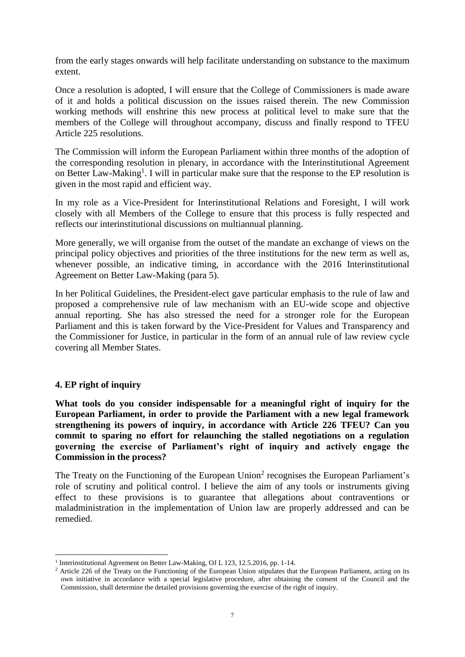from the early stages onwards will help facilitate understanding on substance to the maximum extent.

Once a resolution is adopted, I will ensure that the College of Commissioners is made aware of it and holds a political discussion on the issues raised therein. The new Commission working methods will enshrine this new process at political level to make sure that the members of the College will throughout accompany, discuss and finally respond to TFEU Article 225 resolutions.

The Commission will inform the European Parliament within three months of the adoption of the corresponding resolution in plenary, in accordance with the Interinstitutional Agreement on Better Law-Making<sup>1</sup>. I will in particular make sure that the response to the EP resolution is given in the most rapid and efficient way.

In my role as a Vice-President for Interinstitutional Relations and Foresight, I will work closely with all Members of the College to ensure that this process is fully respected and reflects our interinstitutional discussions on multiannual planning.

More generally, we will organise from the outset of the mandate an exchange of views on the principal policy objectives and priorities of the three institutions for the new term as well as, whenever possible, an indicative timing, in accordance with the 2016 Interinstitutional Agreement on Better Law-Making (para 5).

In her Political Guidelines, the President-elect gave particular emphasis to the rule of law and proposed a comprehensive rule of law mechanism with an EU-wide scope and objective annual reporting. She has also stressed the need for a stronger role for the European Parliament and this is taken forward by the Vice-President for Values and Transparency and the Commissioner for Justice, in particular in the form of an annual rule of law review cycle covering all Member States.

### **4. EP right of inquiry**

**What tools do you consider indispensable for a meaningful right of inquiry for the European Parliament, in order to provide the Parliament with a new legal framework strengthening its powers of inquiry, in accordance with Article 226 TFEU? Can you commit to sparing no effort for relaunching the stalled negotiations on a regulation governing the exercise of Parliament's right of inquiry and actively engage the Commission in the process?**

The Treaty on the Functioning of the European Union<sup>2</sup> recognises the European Parliament's role of scrutiny and political control. I believe the aim of any tools or instruments giving effect to these provisions is to guarantee that allegations about contraventions or maladministration in the implementation of Union law are properly addressed and can be remedied.

**<sup>.</sup>** <sup>1</sup> Interinstitutional Agreement on Better Law-Making, OJ L 123, 12.5.2016, pp. 1-14.

<sup>&</sup>lt;sup>2</sup> Article 226 of the Treaty on the Functioning of the European Union stipulates that the European Parliament, acting on its own initiative in accordance with a special legislative procedure, after obtaining the consent of the Council and the Commission, shall determine the detailed provisions governing the exercise of the right of inquiry.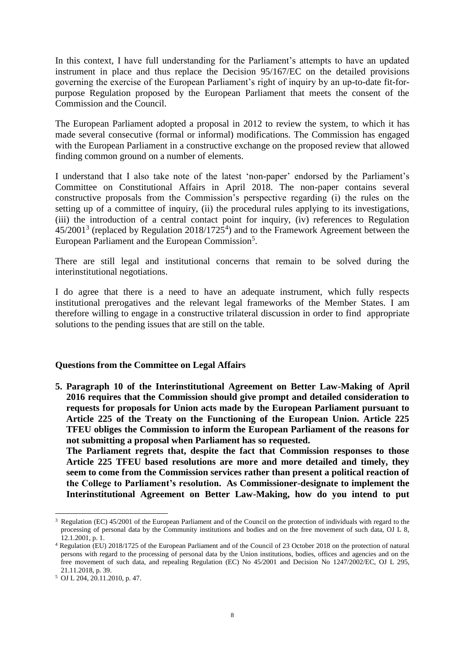In this context, I have full understanding for the Parliament's attempts to have an updated instrument in place and thus replace the Decision 95/167/EC on the detailed provisions governing the exercise of the European Parliament's right of inquiry by an up-to-date fit-forpurpose Regulation proposed by the European Parliament that meets the consent of the Commission and the Council.

The European Parliament adopted a proposal in 2012 to review the system, to which it has made several consecutive (formal or informal) modifications. The Commission has engaged with the European Parliament in a constructive exchange on the proposed review that allowed finding common ground on a number of elements.

I understand that I also take note of the latest 'non-paper' endorsed by the Parliament's Committee on Constitutional Affairs in April 2018. The non-paper contains several constructive proposals from the Commission's perspective regarding (i) the rules on the setting up of a committee of inquiry, (ii) the procedural rules applying to its investigations, (iii) the introduction of a central contact point for inquiry, (iv) references to Regulation  $45/2001<sup>3</sup>$  (replaced by Regulation 2018/1725<sup>4</sup>) and to the Framework Agreement between the European Parliament and the European Commission<sup>5</sup>.

There are still legal and institutional concerns that remain to be solved during the interinstitutional negotiations.

I do agree that there is a need to have an adequate instrument, which fully respects institutional prerogatives and the relevant legal frameworks of the Member States. I am therefore willing to engage in a constructive trilateral discussion in order to find appropriate solutions to the pending issues that are still on the table.

### **Questions from the Committee on Legal Affairs**

**5. Paragraph 10 of the Interinstitutional Agreement on Better Law-Making of April 2016 requires that the Commission should give prompt and detailed consideration to requests for proposals for Union acts made by the European Parliament pursuant to Article 225 of the Treaty on the Functioning of the European Union. Article 225 TFEU obliges the Commission to inform the European Parliament of the reasons for not submitting a proposal when Parliament has so requested.** 

**The Parliament regrets that, despite the fact that Commission responses to those Article 225 TFEU based resolutions are more and more detailed and timely, they seem to come from the Commission services rather than present a political reaction of the College to Parliament's resolution. As Commissioner-designate to implement the Interinstitutional Agreement on Better Law-Making, how do you intend to put** 

1

<sup>3</sup> Regulation (EC) 45/2001 of the European Parliament and of the Council on the protection of individuals with regard to the processing of personal data by the Community institutions and bodies and on the free movement of such data, OJ L 8, 12.1.2001, p. 1.

<sup>4</sup> Regulation (EU) 2018/1725 of the European Parliament and of the Council of 23 October 2018 on the protection of natural persons with regard to the processing of personal data by the Union institutions, bodies, offices and agencies and on the free movement of such data, and repealing Regulation (EC) No 45/2001 and Decision No 1247/2002/EC, OJ L 295, 21.11.2018, p. 39.

<sup>5</sup> OJ L 204, 20.11.2010, p. 47.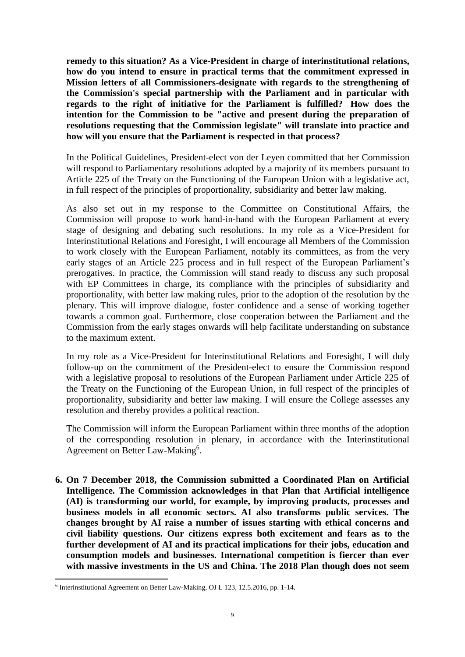**remedy to this situation? As a Vice-President in charge of interinstitutional relations, how do you intend to ensure in practical terms that the commitment expressed in Mission letters of all Commissioners-designate with regards to the strengthening of the Commission's special partnership with the Parliament and in particular with regards to the right of initiative for the Parliament is fulfilled? How does the intention for the Commission to be "active and present during the preparation of resolutions requesting that the Commission legislate" will translate into practice and how will you ensure that the Parliament is respected in that process?** 

In the Political Guidelines, President-elect von der Leyen committed that her Commission will respond to Parliamentary resolutions adopted by a majority of its members pursuant to Article 225 of the Treaty on the Functioning of the European Union with a legislative act, in full respect of the principles of proportionality, subsidiarity and better law making.

As also set out in my response to the Committee on Constitutional Affairs, the Commission will propose to work hand-in-hand with the European Parliament at every stage of designing and debating such resolutions. In my role as a Vice-President for Interinstitutional Relations and Foresight, I will encourage all Members of the Commission to work closely with the European Parliament, notably its committees, as from the very early stages of an Article 225 process and in full respect of the European Parliament's prerogatives. In practice, the Commission will stand ready to discuss any such proposal with EP Committees in charge, its compliance with the principles of subsidiarity and proportionality, with better law making rules, prior to the adoption of the resolution by the plenary. This will improve dialogue, foster confidence and a sense of working together towards a common goal. Furthermore, close cooperation between the Parliament and the Commission from the early stages onwards will help facilitate understanding on substance to the maximum extent.

In my role as a Vice-President for Interinstitutional Relations and Foresight, I will duly follow-up on the commitment of the President-elect to ensure the Commission respond with a legislative proposal to resolutions of the European Parliament under Article 225 of the Treaty on the Functioning of the European Union, in full respect of the principles of proportionality, subsidiarity and better law making. I will ensure the College assesses any resolution and thereby provides a political reaction.

The Commission will inform the European Parliament within three months of the adoption of the corresponding resolution in plenary, in accordance with the Interinstitutional Agreement on Better Law-Making<sup>6</sup>.

**6. On 7 December 2018, the Commission submitted a Coordinated Plan on Artificial Intelligence. The Commission acknowledges in that Plan that Artificial intelligence (AI) is transforming our world, for example, by improving products, processes and business models in all economic sectors. AI also transforms public services. The changes brought by AI raise a number of issues starting with ethical concerns and civil liability questions. Our citizens express both excitement and fears as to the further development of AI and its practical implications for their jobs, education and consumption models and businesses. International competition is fiercer than ever with massive investments in the US and China. The 2018 Plan though does not seem** 

1

<sup>6</sup> Interinstitutional Agreement on Better Law-Making, OJ L 123, 12.5.2016, pp. 1-14.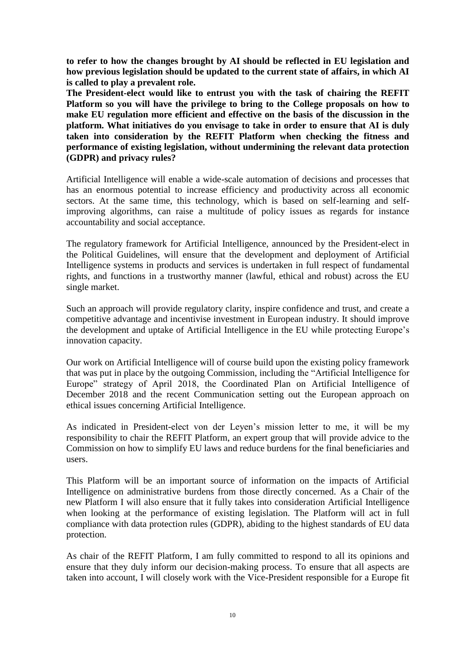**to refer to how the changes brought by AI should be reflected in EU legislation and how previous legislation should be updated to the current state of affairs, in which AI is called to play a prevalent role.** 

**The President-elect would like to entrust you with the task of chairing the REFIT Platform so you will have the privilege to bring to the College proposals on how to make EU regulation more efficient and effective on the basis of the discussion in the platform. What initiatives do you envisage to take in order to ensure that AI is duly taken into consideration by the REFIT Platform when checking the fitness and performance of existing legislation, without undermining the relevant data protection (GDPR) and privacy rules?** 

Artificial Intelligence will enable a wide-scale automation of decisions and processes that has an enormous potential to increase efficiency and productivity across all economic sectors. At the same time, this technology, which is based on self-learning and selfimproving algorithms, can raise a multitude of policy issues as regards for instance accountability and social acceptance.

The regulatory framework for Artificial Intelligence, announced by the President-elect in the Political Guidelines, will ensure that the development and deployment of Artificial Intelligence systems in products and services is undertaken in full respect of fundamental rights, and functions in a trustworthy manner (lawful, ethical and robust) across the EU single market.

Such an approach will provide regulatory clarity, inspire confidence and trust, and create a competitive advantage and incentivise investment in European industry. It should improve the development and uptake of Artificial Intelligence in the EU while protecting Europe's innovation capacity.

Our work on Artificial Intelligence will of course build upon the existing policy framework that was put in place by the outgoing Commission, including the "Artificial Intelligence for Europe" strategy of April 2018, the Coordinated Plan on Artificial Intelligence of December 2018 and the recent Communication setting out the European approach on ethical issues concerning Artificial Intelligence.

As indicated in President-elect von der Leyen's mission letter to me, it will be my responsibility to chair the REFIT Platform, an expert group that will provide advice to the Commission on how to simplify EU laws and reduce burdens for the final beneficiaries and users.

This Platform will be an important source of information on the impacts of Artificial Intelligence on administrative burdens from those directly concerned. As a Chair of the new Platform I will also ensure that it fully takes into consideration Artificial Intelligence when looking at the performance of existing legislation. The Platform will act in full compliance with data protection rules (GDPR), abiding to the highest standards of EU data protection.

As chair of the REFIT Platform, I am fully committed to respond to all its opinions and ensure that they duly inform our decision-making process. To ensure that all aspects are taken into account, I will closely work with the Vice-President responsible for a Europe fit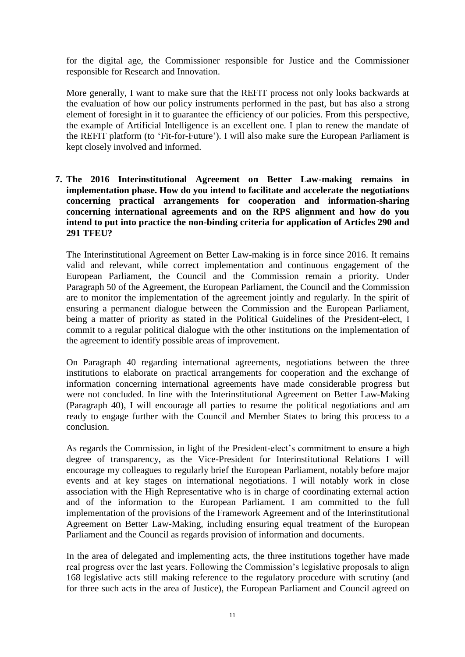for the digital age, the Commissioner responsible for Justice and the Commissioner responsible for Research and Innovation.

More generally, I want to make sure that the REFIT process not only looks backwards at the evaluation of how our policy instruments performed in the past, but has also a strong element of foresight in it to guarantee the efficiency of our policies. From this perspective, the example of Artificial Intelligence is an excellent one. I plan to renew the mandate of the REFIT platform (to 'Fit-for-Future'). I will also make sure the European Parliament is kept closely involved and informed.

**7. The 2016 Interinstitutional Agreement on Better Law-making remains in implementation phase. How do you intend to facilitate and accelerate the negotiations concerning practical arrangements for cooperation and information-sharing concerning international agreements and on the RPS alignment and how do you intend to put into practice the non-binding criteria for application of Articles 290 and 291 TFEU?**

The Interinstitutional Agreement on Better Law-making is in force since 2016. It remains valid and relevant, while correct implementation and continuous engagement of the European Parliament, the Council and the Commission remain a priority. Under Paragraph 50 of the Agreement, the European Parliament, the Council and the Commission are to monitor the implementation of the agreement jointly and regularly. In the spirit of ensuring a permanent dialogue between the Commission and the European Parliament, being a matter of priority as stated in the Political Guidelines of the President-elect, I commit to a regular political dialogue with the other institutions on the implementation of the agreement to identify possible areas of improvement.

On Paragraph 40 regarding international agreements, negotiations between the three institutions to elaborate on practical arrangements for cooperation and the exchange of information concerning international agreements have made considerable progress but were not concluded. In line with the Interinstitutional Agreement on Better Law-Making (Paragraph 40), I will encourage all parties to resume the political negotiations and am ready to engage further with the Council and Member States to bring this process to a conclusion.

As regards the Commission, in light of the President-elect's commitment to ensure a high degree of transparency, as the Vice-President for Interinstitutional Relations I will encourage my colleagues to regularly brief the European Parliament, notably before major events and at key stages on international negotiations. I will notably work in close association with the High Representative who is in charge of coordinating external action and of the information to the European Parliament. I am committed to the full implementation of the provisions of the Framework Agreement and of the Interinstitutional Agreement on Better Law-Making, including ensuring equal treatment of the European Parliament and the Council as regards provision of information and documents.

In the area of delegated and implementing acts, the three institutions together have made real progress over the last years. Following the Commission's legislative proposals to align 168 legislative acts still making reference to the regulatory procedure with scrutiny (and for three such acts in the area of Justice), the European Parliament and Council agreed on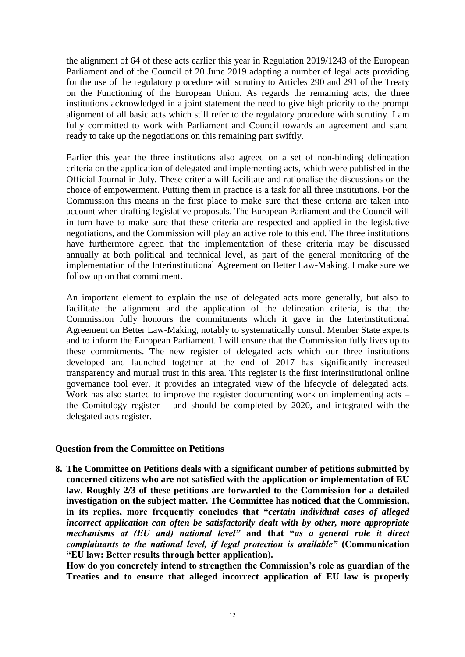the alignment of 64 of these acts earlier this year in Regulation 2019/1243 of the European Parliament and of the Council of 20 June 2019 adapting a number of legal acts providing for the use of the regulatory procedure with scrutiny to Articles 290 and 291 of the Treaty on the Functioning of the European Union. As regards the remaining acts, the three institutions acknowledged in a joint statement the need to give high priority to the prompt alignment of all basic acts which still refer to the regulatory procedure with scrutiny. I am fully committed to work with Parliament and Council towards an agreement and stand ready to take up the negotiations on this remaining part swiftly.

Earlier this year the three institutions also agreed on a set of non-binding delineation criteria on the application of delegated and implementing acts, which were published in the Official Journal in July. These criteria will facilitate and rationalise the discussions on the choice of empowerment. Putting them in practice is a task for all three institutions. For the Commission this means in the first place to make sure that these criteria are taken into account when drafting legislative proposals. The European Parliament and the Council will in turn have to make sure that these criteria are respected and applied in the legislative negotiations, and the Commission will play an active role to this end. The three institutions have furthermore agreed that the implementation of these criteria may be discussed annually at both political and technical level, as part of the general monitoring of the implementation of the Interinstitutional Agreement on Better Law-Making. I make sure we follow up on that commitment.

An important element to explain the use of delegated acts more generally, but also to facilitate the alignment and the application of the delineation criteria, is that the Commission fully honours the commitments which it gave in the Interinstitutional Agreement on Better Law-Making, notably to systematically consult Member State experts and to inform the European Parliament. I will ensure that the Commission fully lives up to these commitments. The new register of delegated acts which our three institutions developed and launched together at the end of 2017 has significantly increased transparency and mutual trust in this area. This register is the first interinstitutional online governance tool ever. It provides an integrated view of the lifecycle of delegated acts. Work has also started to improve the register documenting work on implementing acts – the Comitology register – and should be completed by 2020, and integrated with the delegated acts register.

### **Question from the Committee on Petitions**

**8. The Committee on Petitions deals with a significant number of petitions submitted by concerned citizens who are not satisfied with the application or implementation of EU law. Roughly 2/3 of these petitions are forwarded to the Commission for a detailed investigation on the subject matter. The Committee has noticed that the Commission, in its replies, more frequently concludes that "***certain individual cases of alleged incorrect application can often be satisfactorily dealt with by other, more appropriate mechanisms at (EU and) national level"* **and that "***as a general rule it direct complainants to the national level, if legal protection is available"* **(Communication "EU law: Better results through better application).**

**How do you concretely intend to strengthen the Commission's role as guardian of the Treaties and to ensure that alleged incorrect application of EU law is properly**